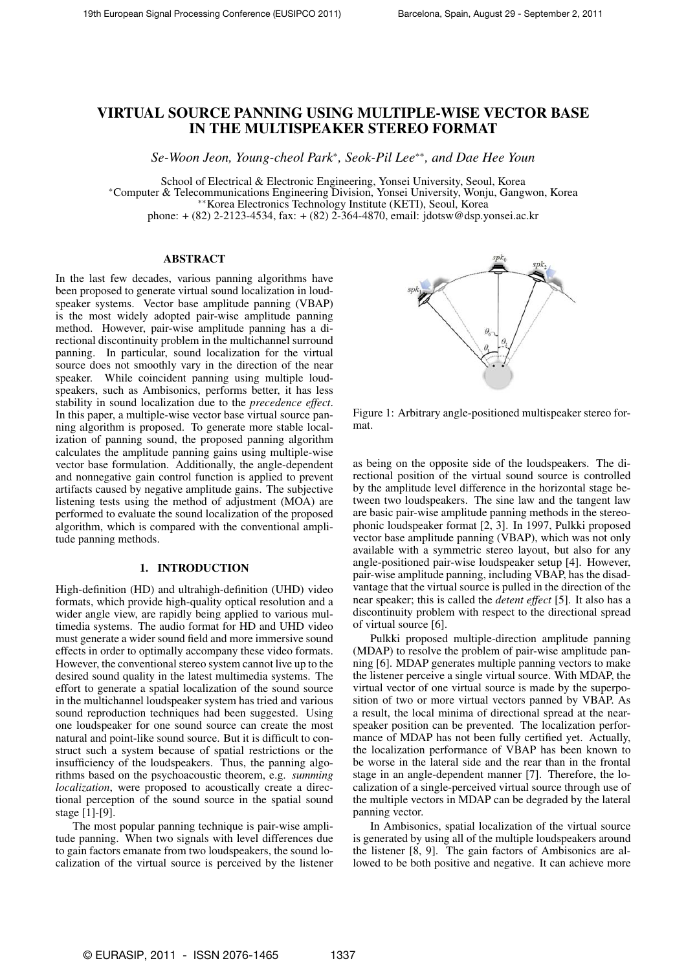# VIRTUAL SOURCE PANNING USING MULTIPLE-WISE VECTOR BASE IN THE MULTISPEAKER STEREO FORMAT

*Se-Woon Jeon, Young-cheol Park*<sup>∗</sup> *, Seok-Pil Lee*∗∗*, and Dae Hee Youn*

School of Electrical & Electronic Engineering, Yonsei University, Seoul, Korea <sup>∗</sup>Computer & Telecommunications Engineering Division, Yonsei University, Wonju, Gangwon, Korea ∗∗Korea Electronics Technology Institute (KETI), Seoul, Korea phone: + (82) 2-2123-4534, fax: + (82) 2-364-4870, email: jdotsw@dsp.yonsei.ac.kr

## ABSTRACT

In the last few decades, various panning algorithms have been proposed to generate virtual sound localization in loudspeaker systems. Vector base amplitude panning (VBAP) is the most widely adopted pair-wise amplitude panning method. However, pair-wise amplitude panning has a directional discontinuity problem in the multichannel surround panning. In particular, sound localization for the virtual source does not smoothly vary in the direction of the near speaker. While coincident panning using multiple loudspeakers, such as Ambisonics, performs better, it has less stability in sound localization due to the *precedence effect*. In this paper, a multiple-wise vector base virtual source panning algorithm is proposed. To generate more stable localization of panning sound, the proposed panning algorithm calculates the amplitude panning gains using multiple-wise vector base formulation. Additionally, the angle-dependent and nonnegative gain control function is applied to prevent artifacts caused by negative amplitude gains. The subjective listening tests using the method of adjustment (MOA) are performed to evaluate the sound localization of the proposed algorithm, which is compared with the conventional amplitude panning methods.

## 1. INTRODUCTION

High-definition (HD) and ultrahigh-definition (UHD) video formats, which provide high-quality optical resolution and a wider angle view, are rapidly being applied to various multimedia systems. The audio format for HD and UHD video must generate a wider sound field and more immersive sound effects in order to optimally accompany these video formats. However, the conventional stereo system cannot live up to the desired sound quality in the latest multimedia systems. The effort to generate a spatial localization of the sound source in the multichannel loudspeaker system has tried and various sound reproduction techniques had been suggested. Using one loudspeaker for one sound source can create the most natural and point-like sound source. But it is difficult to construct such a system because of spatial restrictions or the insufficiency of the loudspeakers. Thus, the panning algorithms based on the psychoacoustic theorem, e.g. *summing localization*, were proposed to acoustically create a directional perception of the sound source in the spatial sound stage [1]-[9].

The most popular panning technique is pair-wise amplitude panning. When two signals with level differences due to gain factors emanate from two loudspeakers, the sound localization of the virtual source is perceived by the listener



Figure 1: Arbitrary angle-positioned multispeaker stereo format.

as being on the opposite side of the loudspeakers. The directional position of the virtual sound source is controlled by the amplitude level difference in the horizontal stage between two loudspeakers. The sine law and the tangent law are basic pair-wise amplitude panning methods in the stereophonic loudspeaker format [2, 3]. In 1997, Pulkki proposed vector base amplitude panning (VBAP), which was not only available with a symmetric stereo layout, but also for any angle-positioned pair-wise loudspeaker setup [4]. However, pair-wise amplitude panning, including VBAP, has the disadvantage that the virtual source is pulled in the direction of the near speaker; this is called the *detent effect* [5]. It also has a discontinuity problem with respect to the directional spread of virtual source [6].

Pulkki proposed multiple-direction amplitude panning (MDAP) to resolve the problem of pair-wise amplitude panning [6]. MDAP generates multiple panning vectors to make the listener perceive a single virtual source. With MDAP, the virtual vector of one virtual source is made by the superposition of two or more virtual vectors panned by VBAP. As a result, the local minima of directional spread at the nearspeaker position can be prevented. The localization performance of MDAP has not been fully certified yet. Actually, the localization performance of VBAP has been known to be worse in the lateral side and the rear than in the frontal stage in an angle-dependent manner [7]. Therefore, the localization of a single-perceived virtual source through use of the multiple vectors in MDAP can be degraded by the lateral panning vector.

In Ambisonics, spatial localization of the virtual source is generated by using all of the multiple loudspeakers around the listener [8, 9]. The gain factors of Ambisonics are allowed to be both positive and negative. It can achieve more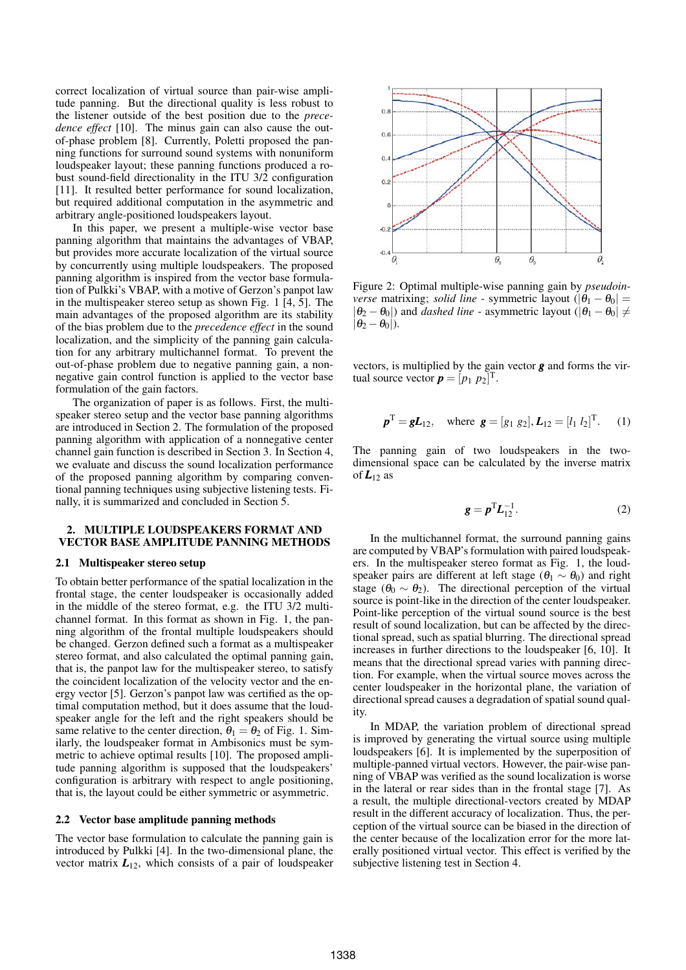correct localization of virtual source than pair-wise amplitude panning. But the directional quality is less robust to the listener outside of the best position due to the *precedence effect* [10]. The minus gain can also cause the outof-phase problem [8]. Currently, Poletti proposed the panning functions for surround sound systems with nonuniform loudspeaker layout; these panning functions produced a robust sound-field directionality in the ITU 3/2 configuration [11]. It resulted better performance for sound localization, but required additional computation in the asymmetric and arbitrary angle-positioned loudspeakers layout.

In this paper, we present a multiple-wise vector base panning algorithm that maintains the advantages of VBAP, but provides more accurate localization of the virtual source by concurrently using multiple loudspeakers. The proposed panning algorithm is inspired from the vector base formulation of Pulkki's VBAP, with a motive of Gerzon's panpot law in the multispeaker stereo setup as shown Fig. 1 [4, 5]. The main advantages of the proposed algorithm are its stability of the bias problem due to the *precedence effect* in the sound localization, and the simplicity of the panning gain calculation for any arbitrary multichannel format. To prevent the out-of-phase problem due to negative panning gain, a nonnegative gain control function is applied to the vector base formulation of the gain factors.

The organization of paper is as follows. First, the multispeaker stereo setup and the vector base panning algorithms are introduced in Section 2. The formulation of the proposed panning algorithm with application of a nonnegative center channel gain function is described in Section 3. In Section 4, we evaluate and discuss the sound localization performance of the proposed panning algorithm by comparing conventional panning techniques using subjective listening tests. Finally, it is summarized and concluded in Section 5.

#### 2. MULTIPLE LOUDSPEAKERS FORMAT AND VECTOR BASE AMPLITUDE PANNING METHODS

## 2.1 Multispeaker stereo setup

To obtain better performance of the spatial localization in the frontal stage, the center loudspeaker is occasionally added in the middle of the stereo format, e.g. the ITU 3/2 multichannel format. In this format as shown in Fig. 1, the panning algorithm of the frontal multiple loudspeakers should be changed. Gerzon defined such a format as a multispeaker stereo format, and also calculated the optimal panning gain, that is, the panpot law for the multispeaker stereo, to satisfy the coincident localization of the velocity vector and the energy vector [5]. Gerzon's panpot law was certified as the optimal computation method, but it does assume that the loudspeaker angle for the left and the right speakers should be same relative to the center direction,  $\theta_1 = \theta_2$  of Fig. 1. Similarly, the loudspeaker format in Ambisonics must be symmetric to achieve optimal results [10]. The proposed amplitude panning algorithm is supposed that the loudspeakers' configuration is arbitrary with respect to angle positioning, that is, the layout could be either symmetric or asymmetric.

#### 2.2 Vector base amplitude panning methods

The vector base formulation to calculate the panning gain is introduced by Pulkki [4]. In the two-dimensional plane, the vector matrix  $L_{12}$ , which consists of a pair of loudspeaker



Figure 2: Optimal multiple-wise panning gain by *pseudoinverse* matrixing; *solid line* - symmetric layout  $(|\theta_1 - \theta_0|)$  =  $|\theta_2 - \theta_0|$ ) and *dashed line* - asymmetric layout  $(|\theta_1 - \theta_0| \neq$  $|\theta_2 - \theta_0|$ ).

vectors, is multiplied by the gain vector *g* and forms the virtual source vector  $\mathbf{p} = [p_1 \ p_2]^\text{T}$ .

$$
\mathbf{p}^{\mathrm{T}} = \mathbf{g} \mathbf{L}_{12}
$$
, where  $\mathbf{g} = [g_1 \ g_2], \mathbf{L}_{12} = [l_1 \ l_2]^{\mathrm{T}}$ . (1)

The panning gain of two loudspeakers in the twodimensional space can be calculated by the inverse matrix of  $L_1$ <sub>2</sub> as

$$
\mathbf{g} = \mathbf{p}^{\mathrm{T}} \mathbf{L}_{12}^{-1}.\tag{2}
$$

In the multichannel format, the surround panning gains are computed by VBAP's formulation with paired loudspeakers. In the multispeaker stereo format as Fig. 1, the loudspeaker pairs are different at left stage ( $\theta_1 \sim \theta_0$ ) and right stage ( $\theta_0 \sim \theta_2$ ). The directional perception of the virtual source is point-like in the direction of the center loudspeaker. Point-like perception of the virtual sound source is the best result of sound localization, but can be affected by the directional spread, such as spatial blurring. The directional spread increases in further directions to the loudspeaker [6, 10]. It means that the directional spread varies with panning direction. For example, when the virtual source moves across the center loudspeaker in the horizontal plane, the variation of directional spread causes a degradation of spatial sound quality.

In MDAP, the variation problem of directional spread is improved by generating the virtual source using multiple loudspeakers [6]. It is implemented by the superposition of multiple-panned virtual vectors. However, the pair-wise panning of VBAP was verified as the sound localization is worse in the lateral or rear sides than in the frontal stage [7]. As a result, the multiple directional-vectors created by MDAP result in the different accuracy of localization. Thus, the perception of the virtual source can be biased in the direction of the center because of the localization error for the more laterally positioned virtual vector. This effect is verified by the subjective listening test in Section 4.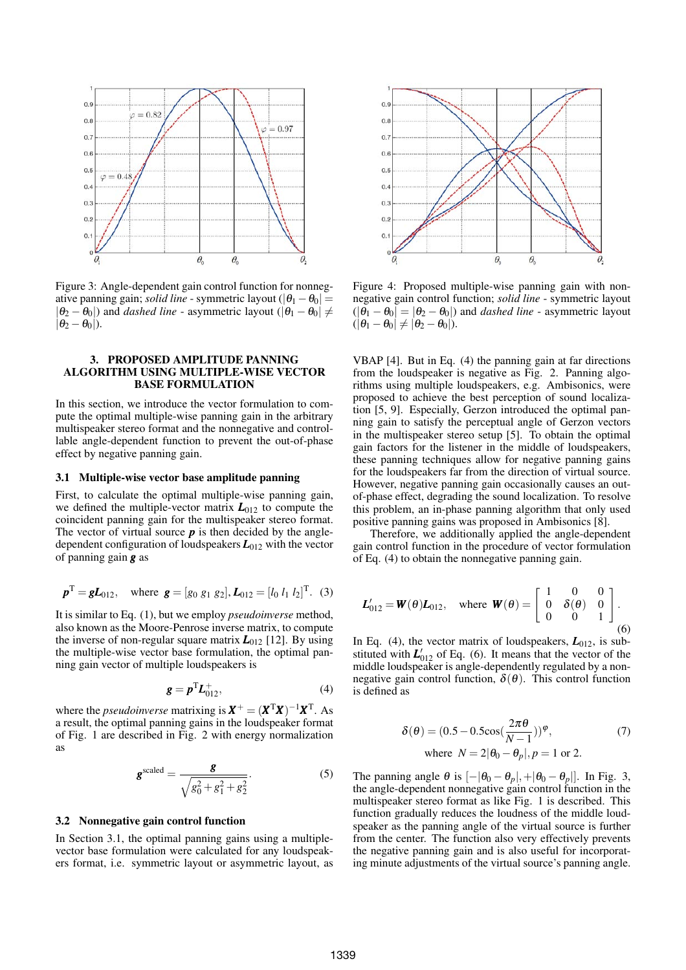

Figure 3: Angle-dependent gain control function for nonnegative panning gain; *solid line* - symmetric layout ( $|\theta_1 - \theta_0|$  =  $|\theta_2 - \theta_0|$ ) and *dashed line* - asymmetric layout ( $|\theta_1 - \theta_0| \neq$  $|\theta_2 - \theta_0|$ ).

## 3. PROPOSED AMPLITUDE PANNING ALGORITHM USING MULTIPLE-WISE VECTOR BASE FORMULATION

In this section, we introduce the vector formulation to compute the optimal multiple-wise panning gain in the arbitrary multispeaker stereo format and the nonnegative and controllable angle-dependent function to prevent the out-of-phase effect by negative panning gain.

#### 3.1 Multiple-wise vector base amplitude panning

First, to calculate the optimal multiple-wise panning gain, we defined the multiple-vector matrix  $L_{012}$  to compute the coincident panning gain for the multispeaker stereo format. The vector of virtual source  $\boldsymbol{p}$  is then decided by the angledependent configuration of loudspeakers *L*<sup>012</sup> with the vector of panning gain *g* as

$$
\boldsymbol{p}^{\mathrm{T}} = \boldsymbol{g} \boldsymbol{L}_{012}
$$
, where  $\boldsymbol{g} = [g_0 \ g_1 \ g_2], \boldsymbol{L}_{012} = [l_0 \ l_1 \ l_2]^{\mathrm{T}}$ . (3)

It is similar to Eq. (1), but we employ *pseudoinverse* method, also known as the Moore-Penrose inverse matrix, to compute the inverse of non-regular square matrix  $L_{012}$  [12]. By using the multiple-wise vector base formulation, the optimal panning gain vector of multiple loudspeakers is

$$
\boldsymbol{g} = \boldsymbol{p}^{\mathrm{T}} \boldsymbol{L}_{012}^{+},\tag{4}
$$

where the *pseudoinverse* matrixing is  $X^+ = (X^T X)^{-1} X^T$ . As a result, the optimal panning gains in the loudspeaker format of Fig. 1 are described in Fig. 2 with energy normalization as

$$
\mathbf{g}^{\text{scaled}} = \frac{\mathbf{g}}{\sqrt{g_0^2 + g_1^2 + g_2^2}}.
$$
 (5)

#### 3.2 Nonnegative gain control function

In Section 3.1, the optimal panning gains using a multiplevector base formulation were calculated for any loudspeakers format, i.e. symmetric layout or asymmetric layout, as



Figure 4: Proposed multiple-wise panning gain with nonnegative gain control function; *solid line* - symmetric layout  $(|\theta_1 - \theta_0| = |\theta_2 - \theta_0|)$  and *dashed line* - asymmetric layout  $(|\theta_1 - \theta_0| \neq |\theta_2 - \theta_0|).$ 

VBAP [4]. But in Eq. (4) the panning gain at far directions from the loudspeaker is negative as Fig. 2. Panning algorithms using multiple loudspeakers, e.g. Ambisonics, were proposed to achieve the best perception of sound localization [5, 9]. Especially, Gerzon introduced the optimal panning gain to satisfy the perceptual angle of Gerzon vectors in the multispeaker stereo setup [5]. To obtain the optimal gain factors for the listener in the middle of loudspeakers, these panning techniques allow for negative panning gains for the loudspeakers far from the direction of virtual source. However, negative panning gain occasionally causes an outof-phase effect, degrading the sound localization. To resolve this problem, an in-phase panning algorithm that only used positive panning gains was proposed in Ambisonics [8].

Therefore, we additionally applied the angle-dependent gain control function in the procedure of vector formulation of Eq. (4) to obtain the nonnegative panning gain.

$$
\boldsymbol{L}_{012}' = \boldsymbol{W}(\boldsymbol{\theta}) \boldsymbol{L}_{012}, \quad \text{where } \boldsymbol{W}(\boldsymbol{\theta}) = \begin{bmatrix} 1 & 0 & 0 \\ 0 & \delta(\boldsymbol{\theta}) & 0 \\ 0 & 0 & 1 \end{bmatrix}.
$$
\n(6)

In Eq. (4), the vector matrix of loudspeakers,  $L_{012}$ , is substituted with  $L'_{012}$  of Eq. (6). It means that the vector of the middle loudspeaker is angle-dependently regulated by a nonnegative gain control function,  $\delta(\theta)$ . This control function is defined as

$$
\delta(\theta) = (0.5 - 0.5\cos(\frac{2\pi\theta}{N-1}))^{\varphi},
$$
  
where  $N = 2|\theta_0 - \theta_p|, p = 1$  or 2. (7)

The panning angle  $\theta$  is  $[-|\theta_0 - \theta_p|, +|\theta_0 - \theta_p|]$ . In Fig. 3, the angle-dependent nonnegative gain control function in the multispeaker stereo format as like Fig. 1 is described. This function gradually reduces the loudness of the middle loudspeaker as the panning angle of the virtual source is further from the center. The function also very effectively prevents the negative panning gain and is also useful for incorporating minute adjustments of the virtual source's panning angle.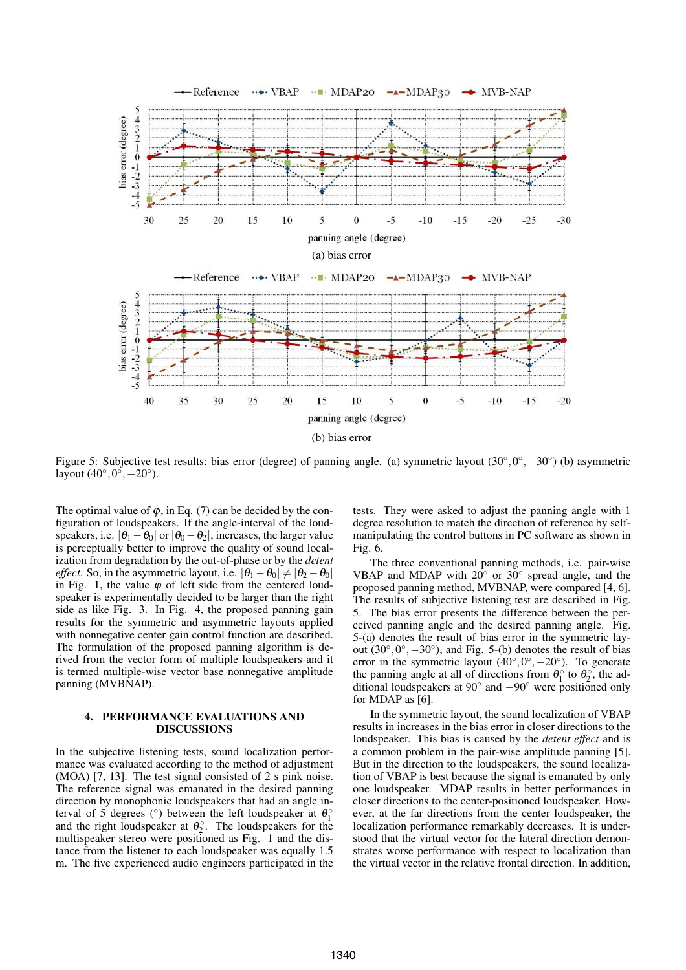

Figure 5: Subjective test results; bias error (degree) of panning angle. (a) symmetric layout  $(30^\circ, 0^\circ, -30^\circ)$  (b) asymmetric layout  $(40^\circ, 0^\circ, -20^\circ)$ .

The optimal value of  $\varphi$ , in Eq. (7) can be decided by the configuration of loudspeakers. If the angle-interval of the loudspeakers, i.e.  $|\theta_1 - \theta_0|$  or  $|\theta_0 - \theta_2|$ , increases, the larger value is perceptually better to improve the quality of sound localization from degradation by the out-of-phase or by the *detent effect*. So, in the asymmetric layout, i.e.  $|\theta_1 - \theta_0| \neq |\theta_2 - \theta_0|$ in Fig. 1, the value  $\varphi$  of left side from the centered loudspeaker is experimentally decided to be larger than the right side as like Fig. 3. In Fig. 4, the proposed panning gain results for the symmetric and asymmetric layouts applied with nonnegative center gain control function are described. The formulation of the proposed panning algorithm is derived from the vector form of multiple loudspeakers and it is termed multiple-wise vector base nonnegative amplitude panning (MVBNAP).

#### 4. PERFORMANCE EVALUATIONS AND DISCUSSIONS

In the subjective listening tests, sound localization performance was evaluated according to the method of adjustment (MOA) [7, 13]. The test signal consisted of 2 s pink noise. The reference signal was emanated in the desired panning direction by monophonic loudspeakers that had an angle interval of 5 degrees ( $\degree$ ) between the left loudspeaker at  $\theta_1^{\circ}$ and the right loudspeaker at  $\theta_2^{\circ}$ . The loudspeakers for the multispeaker stereo were positioned as Fig. 1 and the distance from the listener to each loudspeaker was equally 1.5 m. The five experienced audio engineers participated in the tests. They were asked to adjust the panning angle with 1 degree resolution to match the direction of reference by selfmanipulating the control buttons in PC software as shown in Fig. 6.

The three conventional panning methods, i.e. pair-wise VBAP and MDAP with  $20^{\circ}$  or  $30^{\circ}$  spread angle, and the proposed panning method, MVBNAP, were compared [4, 6]. The results of subjective listening test are described in Fig. 5. The bias error presents the difference between the perceived panning angle and the desired panning angle. Fig. 5-(a) denotes the result of bias error in the symmetric layout  $(30^{\circ}, 0^{\circ}, -30^{\circ})$ , and Fig. 5-(b) denotes the result of bias error in the symmetric layout  $(40^{\circ}, 0^{\circ}, -20^{\circ})$ . To generate the panning angle at all of directions from  $\theta_1^{\circ}$  to  $\theta_2^{\circ}$ , the additional loudspeakers at 90◦ and −90◦ were positioned only for MDAP as [6].

In the symmetric layout, the sound localization of VBAP results in increases in the bias error in closer directions to the loudspeaker. This bias is caused by the *detent effect* and is a common problem in the pair-wise amplitude panning [5]. But in the direction to the loudspeakers, the sound localization of VBAP is best because the signal is emanated by only one loudspeaker. MDAP results in better performances in closer directions to the center-positioned loudspeaker. However, at the far directions from the center loudspeaker, the localization performance remarkably decreases. It is understood that the virtual vector for the lateral direction demonstrates worse performance with respect to localization than the virtual vector in the relative frontal direction. In addition,